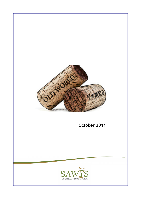

October 2011

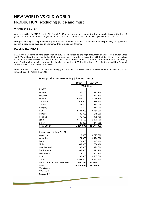# PRODUCTION (excluding juice and must) NEW WORLD VS OLD WORLD

#### Within the EU-27

Wine production in 2010 for both EU-15 and EU-27 member states is one of the lowest productions in the last 15 years. The 2010 wine production (15 290 million litres) did not even reach 2009 levels (16 289 million litres).

Portugal and Bulgaria experienced a growth of 89.2 million litres and 2.9 million litres respectively. A significant decline in production occurred in Germany, Italy, Austria and Romania.

#### Outside the EU-27

USA showed a decline in wine production in 2010 in comparison to the high production of 2009 (1 962 million litres and 2 196 million litres respectively). Chile also experienced a reduced harvest at 884.4 million litres in comparison to the 2009 record harvest of 1 009.3 million litres. Wine production increased by 411.5 million litres in Argentina, while South Africa experienced a decline in wine production of 76.9 million litres. Both Australia and New Zealand also experienced a decline in production.

The world wine production for 2010 (excluding juice and musts) is estimated at 26 000 million litres, which is 1 120 million litres (4.1%) less than 2009.

|                               | 2009*       | 2010**     |
|-------------------------------|-------------|------------|
|                               | '000 litres |            |
| <b>EU-27</b>                  |             |            |
| Austria                       | 235 200     | 173 700    |
| <b>Bulgaria</b>               | 139 700     | 142 600    |
| France                        | 4 636 100   | 4 496 300  |
| Germany                       | 913 900     | 718 500    |
| Greece                        | 336 600     | 310 000    |
| Hungary                       | 319 800     | 250 000    |
| Italy                         | 4 745 000   | 4 484 000  |
| Portugal                      | 586 800     | 676 000    |
| Romania                       | 670 300     | 495 700    |
| Spain                         | 3 516 600   | 3 399 900  |
| <b>Others</b>                 | 189 800     | 144 600    |
| <b>Total EU-27</b>            | 16 289 800  | 15 291 300 |
|                               |             |            |
| Countries outside EU-27       |             |            |
| Argentina                     | 1 213 500   | 1 625 000  |
| Australia                     | 1 171 000   | 1 124 000  |
| <b>Brazil</b>                 | 272 000     | 245 400    |
| Chile                         | 1 009 300   | 884 400    |
| New Zealand                   | 205 000     | 190 000    |
| South Africa                  | 998 600     | 921700     |
| Switzerland                   | 111 200     | 102 700    |
| <b>USA</b>                    | 2 196 000   | 1 962 000  |
| Others                        | 3 653 600   | 3 653 500  |
| Total countries outside EU-27 | 10 8 30 200 | 10 708 700 |
| <b>TOTAL</b>                  | 27 120 000  | 26 000 000 |
| *Provisional                  |             |            |

### Wine production (excluding juice and must)

\*\*Forecast

Source: OIV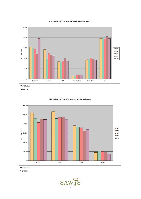

\*Provisional

\*\*Forecast



\*Provisional

\*\*Forecast

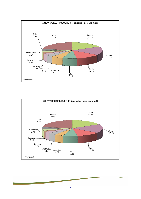

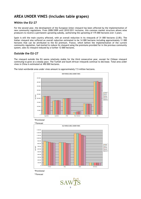### AREA UNDER VINES (includes table grapes)

### Within the EU-27

For the second year, the development of the European Union vineyard has been affected by the implementation of new community regulations. From 2008/2009 until 2010/2011 inclusive, this common market structure allows wine producers to receive a permanent uprooting subsidy, authorizing the uprooting of 175 000 hectares over 3 years.

Spain is still the main country affected, with an overall reduction in its vineyards of 31 000 hectares (2.8%). The Italian vineyard also suffered an overall reduction estimated to be 14 000 hectares including approximately 11 000 hectares that can be attributed to the EU premium. France, which before the implementation of the current community regulation, had started to reduce its vineyard using the premiums provided for in the previous community system, sees its vineyard reduced by a further 12 000 hectares.

#### Outside the EU-27

The vineyard outside the EU seems relatively stable for the third consecutive year, except for Chilean vineyard continuing to grow at a steady pace. The Turkish and South African vineyards continue to decrease. Total area under vines in China is estimated at 490 000 hectares.



The total worldwide area under vines amount to approximately 7.5 million hectares.

\*Provisional



\*Provisional

\*\*Forecast

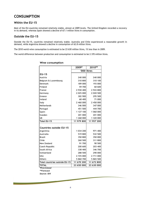### **CONSUMPTION**

#### Within the EU-15

Most of the EU-countries remained relatively stable, almost at 2009 levels. The United Kingdom recorded a recovery in its demand, whereas Spain showed a decline of 67.1 million litres in consumption.

#### Outside the EU-15

Outside the EU-15, countries remained relatively stable. Australia and Chile experienced a reasonable growth in demand, while Argentina showed a decline in consumption of 62.8 million litres.

The 2010 world wine consumption is estimated to be 23 630 million litres, 1% less than in 2009.

The world difference between production and consumption is estimated to be 2 370 million litres.

|                                | 2009*       | 2010**     |
|--------------------------------|-------------|------------|
|                                | '000 litres |            |
| $EU-15$                        |             |            |
| Austria                        | 240 000     | 240 000    |
| Belgium & Luxembourg           | 310 800     | 310 100    |
| <b>Denmark</b>                 | 189 000     | 193 000    |
| Finland                        | 59 700      | 60 600     |
| France                         | 2 930 400   | 2 943 800  |
| Germany                        | 2 025 000   | 2 020 500  |
| Greece                         | 302 900     | 295 500    |
| Ireland                        | 68 400      | 71 000     |
| Italy                          | 2 460 000   | 2 450 000  |
| <b>Netherlands</b>             | 346 000     | 347 000    |
| Portugal                       | 451 500     | 444 700    |
| Spain                          | 1 127 100   | 1 060 000  |
| Sweden                         | 201 000     | 201 000    |
| UK                             | 1 268 000   | 1 320 000  |
| <b>Total EU-15</b>             | 11 979 800  | 11 957 200 |
|                                |             |            |
| <b>Countries outside EU-15</b> |             |            |
| Argentina                      | 1 034 200   | 971 400    |
| Australia                      | 519 800     | 532 500    |
| <b>Brazil</b>                  | 350 800     | 350 000    |
| Chile                          | 260 500     | 311 800    |
| New Zealand                    | 91 700      | 90 500     |
| Czech Republic                 | 200 600     | 203 400    |
| South Africa                   | 338 400     | 346 700    |
| Switzerland                    | 288 500     | 290 000    |
| <b>USA</b>                     | 2 725 000   | 2 711 000  |
| <b>Others</b>                  | 5 860 700   | 5 865 500  |
| Total countries outside EU-15  | 11 670 200  | 11 672 800 |
| <b>TOTAL</b>                   | 23 650 000  | 23 630 000 |
| $*D$ covicional                |             |            |

#### Wine consumption

\*Provisional

\*\*Forecast

Source: OIV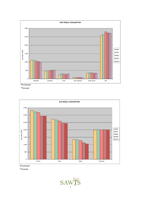

\*Provisional

\*\*Forecast



\*Provisional

\*\*Forecast